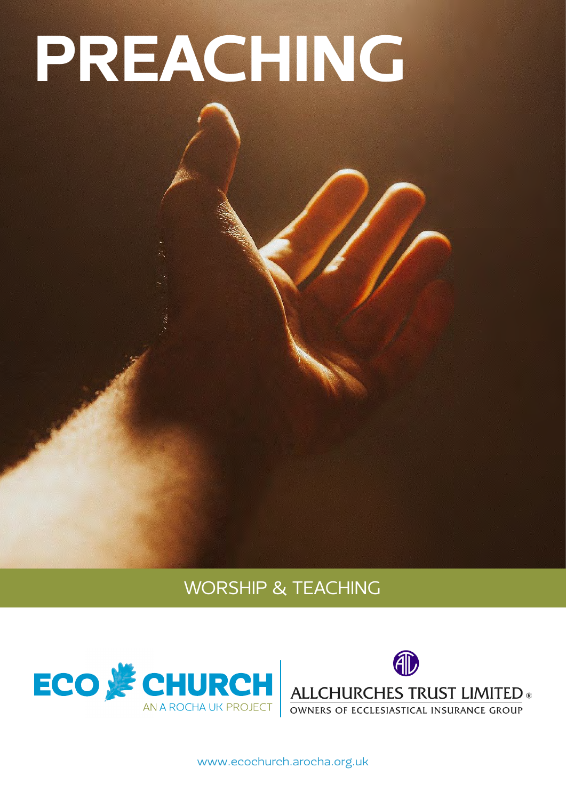# PREACHING

## WORSHIP & TEACHING





[www.ecochurch.arocha.org.uk](http://ecochurch.arocha.org.uk)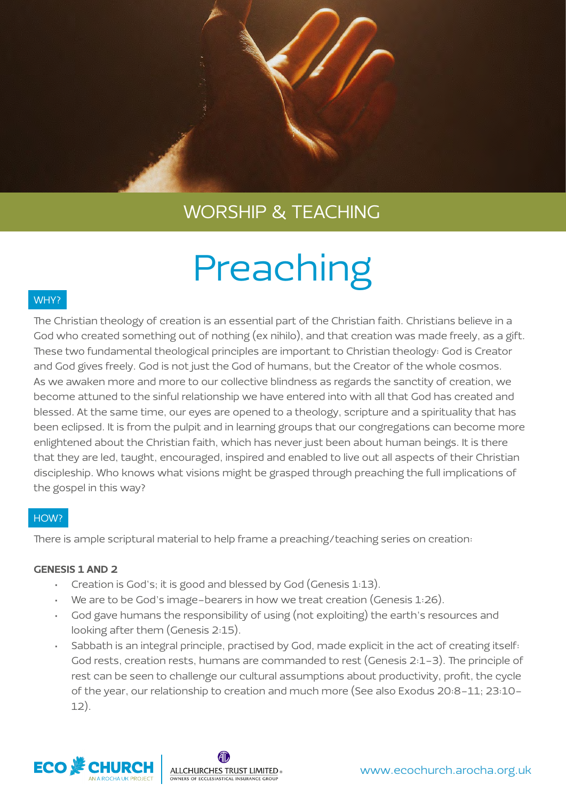## Preaching

### WHY?

The Christian theology of creation is an essential part of the Christian faith. Christians believe in a God who created something out of nothing (ex nihilo), and that creation was made freely, as a gift. These two fundamental theological principles are important to Christian theology: God is Creator and God gives freely. God is not just the God of humans, but the Creator of the whole cosmos. As we awaken more and more to our collective blindness as regards the sanctity of creation, we become attuned to the sinful relationship we have entered into with all that God has created and blessed. At the same time, our eyes are opened to a theology, scripture and a spirituality that has been eclipsed. It is from the pulpit and in learning groups that our congregations can become more enlightened about the Christian faith, which has never just been about human beings. It is there that they are led, taught, encouraged, inspired and enabled to live out all aspects of their Christian discipleship. Who knows what visions might be grasped through preaching the full implications of the gospel in this way?

### HOW?

There is ample scriptural material to help frame a preaching/teaching series on creation:

### GENESIS 1 AND 2

- Creation is God's; it is good and blessed by God (Genesis 1:13).
- We are to be God's image-bearers in how we treat creation (Genesis  $1:26$ ).
- God gave humans the responsibility of using (not exploiting) the earth's resources and looking after them (Genesis 2:15).
- Sabbath is an integral principle, practised by God, made explicit in the act of creating itself: God rests, creation rests, humans are commanded to rest (Genesis 2:1-3). The principle of rest can be seen to challenge our cultural assumptions about productivity, profit, the cycle of the year, our relationship to creation and much more (See also Exodus 20:8-11; 23:10- 12).



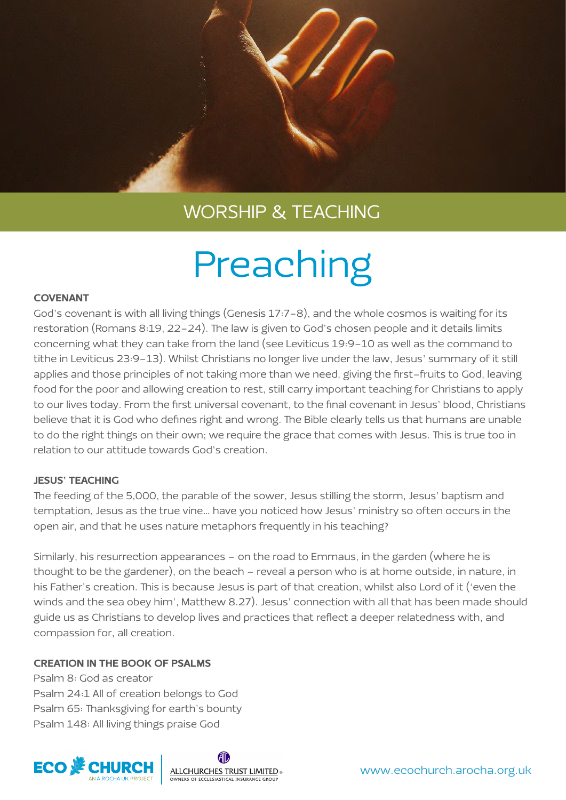## Preaching

### COVENANT

God's covenant is with all living things (Genesis 17:7-8), and the whole cosmos is waiting for its restoration (Romans 8:19, 22-24). The law is given to God's chosen people and it details limits concerning what they can take from the land (see Leviticus 19:9-10 as well as the command to tithe in Leviticus 23:9-13). Whilst Christians no longer live under the law, Jesus' summary of it still applies and those principles of not taking more than we need, giving the first-fruits to God, leaving food for the poor and allowing creation to rest, still carry important teaching for Christians to apply to our lives today. From the first universal covenant, to the final covenant in Jesus' blood, Christians believe that it is God who defines right and wrong. The Bible clearly tells us that humans are unable to do the right things on their own; we require the grace that comes with Jesus. This is true too in relation to our attitude towards God's creation.

### JESUS' TEACHING

The feeding of the 5,000, the parable of the sower, Jesus stilling the storm, Jesus' baptism and temptation, Jesus as the true vine… have you noticed how Jesus' ministry so often occurs in the open air, and that he uses nature metaphors frequently in his teaching?

Similarly, his resurrection appearances – on the road to Emmaus, in the garden (where he is thought to be the gardener), on the beach – reveal a person who is at home outside, in nature, in his Father's creation. This is because Jesus is part of that creation, whilst also Lord of it ('even the winds and the sea obey him', Matthew 8.27). Jesus' connection with all that has been made should guide us as Christians to develop lives and practices that reflect a deeper relatedness with, and compassion for, all creation.

### CREATION IN THE BOOK OF PSALMS

Psalm 8: God as creator Psalm 24:1 All of creation belongs to God Psalm 65: Thanksgiving for earth's bounty Psalm 148: All living things praise God



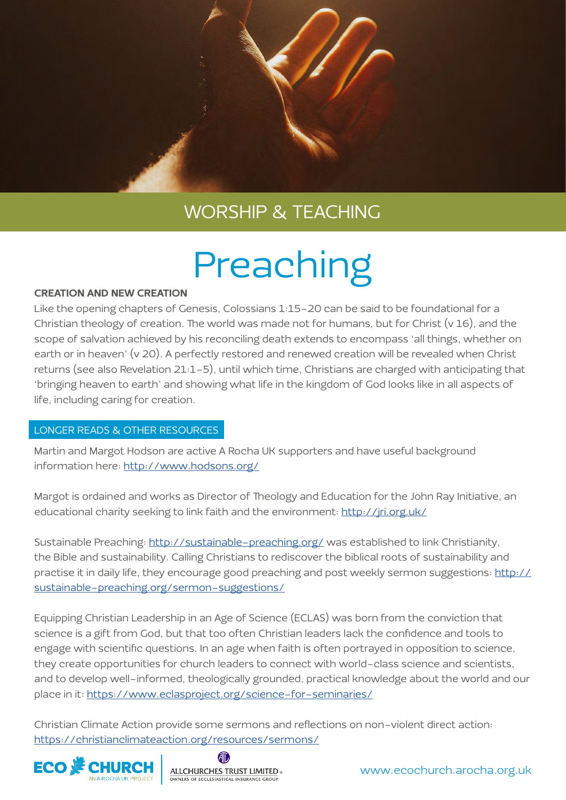## Preaching

#### CREATION AND NEW CREATION

Like the opening chapters of Genesis, Colossians 1:15-20 can be said to be foundational for a Christian theology of creation. The world was made not for humans, but for Christ (v 16), and the scope of salvation achieved by his reconciling death extends to encompass 'all things, whether on earth or in heaven' (v 20). A perfectly restored and renewed creation will be revealed when Christ returns (see also Revelation 21:1-5), until which time, Christians are charged with anticipating that 'bringing heaven to earth' and showing what life in the kingdom of God looks like in all aspects of life, including caring for creation.

### LONGER READS & OTHER RESOURCES

Martin and Margot Hodson are active A Rocha UK supporters and have useful background information here:<http://www.hodsons.org/>

Margot is ordained and works as Director of Theology and Education for the John Ray Initiative, an educational charity seeking to link faith and the environment:<http://jri.org.uk/>

Sustainable Preaching: <http://sustainable-preaching.org/>was established to link Christianity, the Bible and sustainability. Calling Christians to rediscover the biblical roots of sustainability and practise it in daily life, they encourage good preaching and post weekly sermon suggestions: [http://](http://sustainable-preaching.org/sermon-suggestions/) [sustainable-preaching.org/sermon-suggestions/](http://sustainable-preaching.org/sermon-suggestions/)

Equipping Christian Leadership in an Age of Science (ECLAS) was born from the conviction that science is a gift from God, but that too often Christian leaders lack the confidence and tools to engage with scientific questions. In an age when faith is often portrayed in opposition to science, they create opportunities for church leaders to connect with world-class science and scientists, and to develop well-informed, theologically grounded, practical knowledge about the world and our place in it:<https://www.eclasproject.org/science-for-seminaries/>

Christian Climate Action provide some sermons and reflections on non-violent direct action: <https://christianclimateaction.org/resources/sermons/>



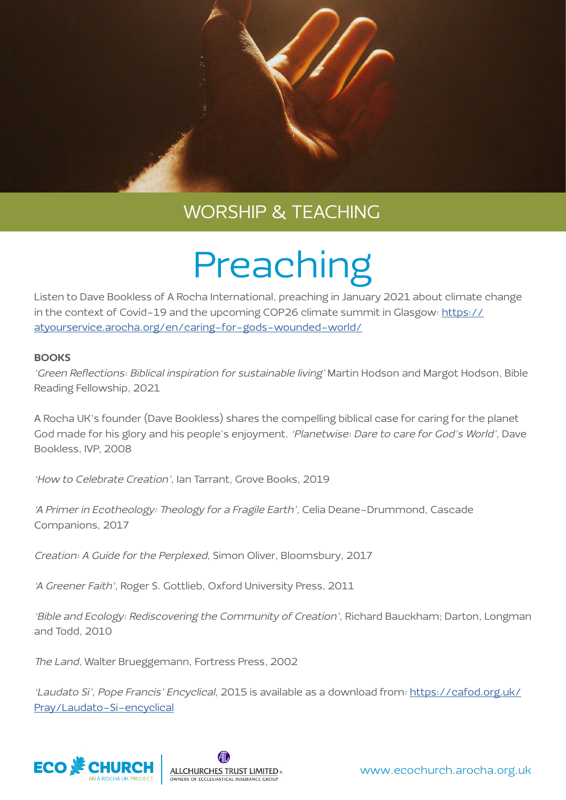## Preaching

Listen to Dave Bookless of A Rocha International, preaching in January 2021 about climate change in the context of Covid-19 and the upcoming COP26 climate summit in Glasgow: [https://](https://atyourservice.arocha.org/en/caring-for-gods-wounded-world/) [atyourservice.arocha.org/en/caring-for-gods-wounded-world/](https://atyourservice.arocha.org/en/caring-for-gods-wounded-world/)

### **BOOKS**

'Green Reflections: Biblical inspiration for sustainable living' Martin Hodson and Margot Hodson, Bible Reading Fellowship, 2021

A Rocha UK's founder (Dave Bookless) shares the compelling biblical case for caring for the planet God made for his glory and his people's enjoyment. 'Planetwise: Dare to care for God's World', Dave Bookless, IVP, 2008

'How to Celebrate Creation', Ian Tarrant, Grove Books, 2019

'A Primer in Ecotheology: Theology for a Fragile Earth', Celia Deane-Drummond, Cascade Companions, 2017

Creation: A Guide for the Perplexed, Simon Oliver, Bloomsbury, 2017

'A Greener Faith', Roger S. Gottlieb, Oxford University Press, 2011

'Bible and Ecology: Rediscovering the Community of Creation', Richard Bauckham; Darton, Longman and Todd, 2010

The Land, Walter Brueggemann, Fortress Press, 2002

'Laudato Si', Pope Francis' Encyclical, 2015 is available as a download from: [https://cafod.org.uk/](https://cafod.org.uk/Pray/Laudato-Si-encyclical) [Pray/Laudato-Si-encyclical](https://cafod.org.uk/Pray/Laudato-Si-encyclical)